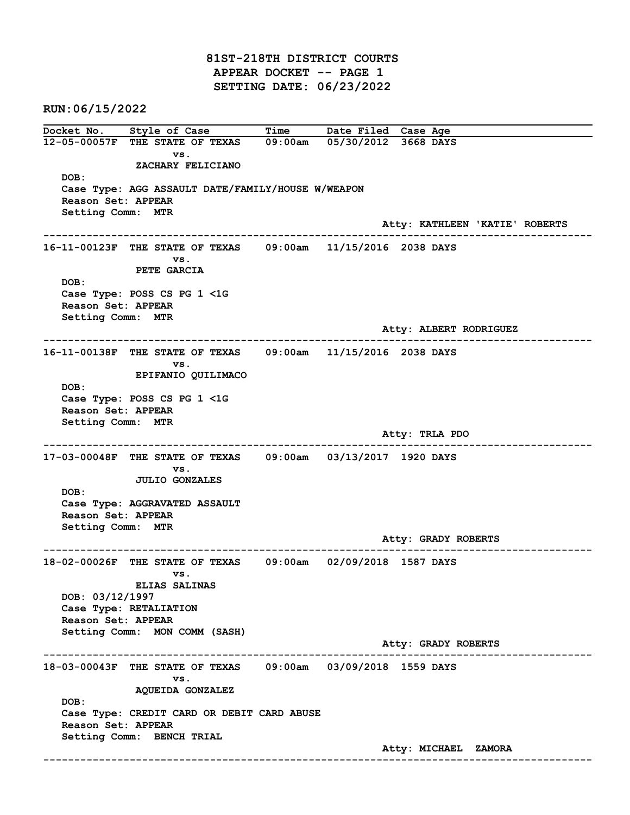81ST-218TH DISTRICT COURTS APPEAR DOCKET -- PAGE 1 SETTING DATE: 06/23/2022

RUN:06/15/2022

Docket No. Style of Case Time Date Filed Case Age 12-05-00057F THE STATE OF TEXAS 09:00am 05/30/2012 3668 DAYS vs. ZACHARY FELICIANO DOB: Case Type: AGG ASSAULT DATE/FAMILY/HOUSE W/WEAPON Reason Set: APPEAR Setting Comm: MTR Atty: KATHLEEN 'KATIE' ROBERTS ------------------------------------------------------------------------------------------------------------------------ 16-11-00123F THE STATE OF TEXAS 09:00am 11/15/2016 2038 DAYS vs. PETE GARCIA DOB: Case Type: POSS CS PG 1 <1G Reason Set: APPEAR Setting Comm: MTR Atty: ALBERT RODRIGUEZ ------------------------------------------------------------------------------------------------------------------------ 16-11-00138F THE STATE OF TEXAS 09:00am 11/15/2016 2038 DAYS vs. EPIFANIO QUILIMACO DOB: Case Type: POSS CS PG 1 <1G Reason Set: APPEAR Setting Comm: MTR Atty: TRLA PDO ------------------------------------------------------------------------------------------------------------------------ 17-03-00048F THE STATE OF TEXAS 09:00am 03/13/2017 1920 DAYS vs. JULIO GONZALES DOB: Case Type: AGGRAVATED ASSAULT Reason Set: APPEAR Setting Comm: MTR Atty: GRADY ROBERTS ------------------------------------------------------------------------------------------------------------------------ 18-02-00026F THE STATE OF TEXAS 09:00am 02/09/2018 1587 DAYS vs. ELIAS SALINAS DOB: 03/12/1997 Case Type: RETALIATION Reason Set: APPEAR Setting Comm: MON COMM (SASH) Atty: GRADY ROBERTS ------------------------------------------------------------------------------------------------------------------------ 18-03-00043F THE STATE OF TEXAS 09:00am 03/09/2018 1559 DAYS vs. AQUEIDA GONZALEZ DOB: Case Type: CREDIT CARD OR DEBIT CARD ABUSE Reason Set: APPEAR Setting Comm: BENCH TRIAL Atty: MICHAEL ZAMORA ------------------------------------------------------------------------------------------------------------------------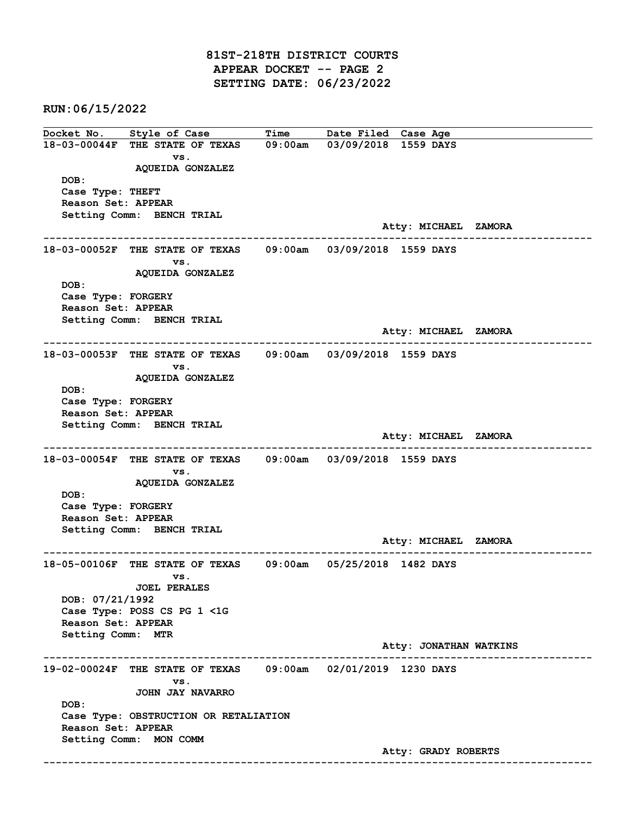81ST-218TH DISTRICT COURTS APPEAR DOCKET -- PAGE 2 SETTING DATE: 06/23/2022

RUN:06/15/2022

Docket No. Style of Case Time Date Filed Case Age 18-03-00044F THE STATE OF TEXAS 09:00am 03/09/2018 1559 DAYS vs. AQUEIDA GONZALEZ DOB: Case Type: THEFT Reason Set: APPEAR Setting Comm: BENCH TRIAL Atty: MICHAEL ZAMORA ------------------------------------------------------------------------------------------------------------------------ 18-03-00052F THE STATE OF TEXAS 09:00am 03/09/2018 1559 DAYS vs. AQUEIDA GONZALEZ DOB: Case Type: FORGERY Reason Set: APPEAR Setting Comm: BENCH TRIAL Atty: MICHAEL ZAMORA ------------------------------------------------------------------------------------------------------------------------ 18-03-00053F THE STATE OF TEXAS 09:00am 03/09/2018 1559 DAYS vs. AQUEIDA GONZALEZ DOB: Case Type: FORGERY Reason Set: APPEAR Setting Comm: BENCH TRIAL Atty: MICHAEL ZAMORA ------------------------------------------------------------------------------------------------------------------------ 18-03-00054F THE STATE OF TEXAS 09:00am 03/09/2018 1559 DAYS vs. AQUEIDA GONZALEZ DOB: Case Type: FORGERY Reason Set: APPEAR Setting Comm: BENCH TRIAL Atty: MICHAEL ZAMORA ------------------------------------------------------------------------------------------------------------------------ 18-05-00106F THE STATE OF TEXAS 09:00am 05/25/2018 1482 DAYS vs. JOEL PERALES DOB: 07/21/1992 Case Type: POSS CS PG 1 <1G Reason Set: APPEAR Setting Comm: MTR Atty: JONATHAN WATKINS ------------------------------------------------------------------------------------------------------------------------ 19-02-00024F THE STATE OF TEXAS 09:00am 02/01/2019 1230 DAYS vs. JOHN JAY NAVARRO DOB: Case Type: OBSTRUCTION OR RETALIATION Reason Set: APPEAR Setting Comm: MON COMM Atty: GRADY ROBERTS ------------------------------------------------------------------------------------------------------------------------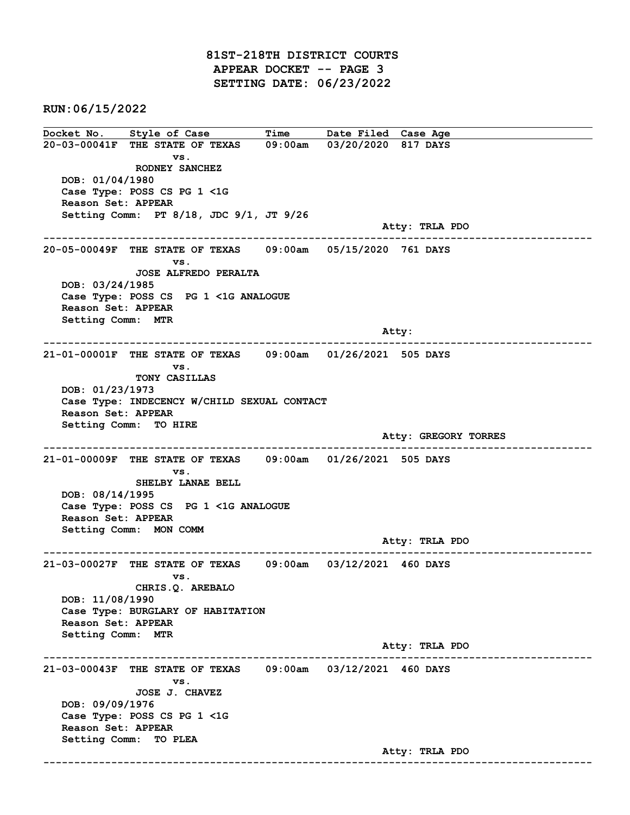81ST-218TH DISTRICT COURTS APPEAR DOCKET -- PAGE 3 SETTING DATE: 06/23/2022

RUN:06/15/2022

Docket No. Style of Case Time Date Filed Case Age 20-03-00041F THE STATE OF TEXAS 09:00am 03/20/2020 817 DAYS vs. RODNEY SANCHEZ DOB: 01/04/1980 Case Type: POSS CS PG 1 <1G Reason Set: APPEAR Setting Comm: PT 8/18, JDC 9/1, JT 9/26 Atty: TRLA PDO ------------------------------------------------------------------------------------------------------------------------ 20-05-00049F THE STATE OF TEXAS 09:00am 05/15/2020 761 DAYS vs. JOSE ALFREDO PERALTA DOB: 03/24/1985 Case Type: POSS CS PG 1 <1G ANALOGUE Reason Set: APPEAR Setting Comm: MTR and the control of the control of the control of the control of the control of the control of the control of the control of the control of the control of the control of the control of the control of the control of the cont ------------------------------------------------------------------------------------------------------------------------ 21-01-00001F THE STATE OF TEXAS 09:00am 01/26/2021 505 DAYS vs. TONY CASILLAS DOB: 01/23/1973 Case Type: INDECENCY W/CHILD SEXUAL CONTACT Reason Set: APPEAR Setting Comm: TO HIRE Atty: GREGORY TORRES ------------------------------------------------------------------------------------------------------------------------ 21-01-00009F THE STATE OF TEXAS 09:00am 01/26/2021 505 DAYS vs. SHELBY LANAE BELL DOB: 08/14/1995 Case Type: POSS CS PG 1 <1G ANALOGUE Reason Set: APPEAR Setting Comm: MON COMM Atty: TRLA PDO ------------------------------------------------------------------------------------------------------------------------ 21-03-00027F THE STATE OF TEXAS 09:00am 03/12/2021 460 DAYS vs. CHRIS.Q. AREBALO DOB: 11/08/1990 Case Type: BURGLARY OF HABITATION Reason Set: APPEAR Setting Comm: MTR Atty: TRLA PDO ------------------------------------------------------------------------------------------------------------------------ 21-03-00043F THE STATE OF TEXAS 09:00am 03/12/2021 460 DAYS vs. JOSE J. CHAVEZ DOB: 09/09/1976 Case Type: POSS CS PG 1 <1G Reason Set: APPEAR Setting Comm: TO PLEA Atty: TRLA PDO ------------------------------------------------------------------------------------------------------------------------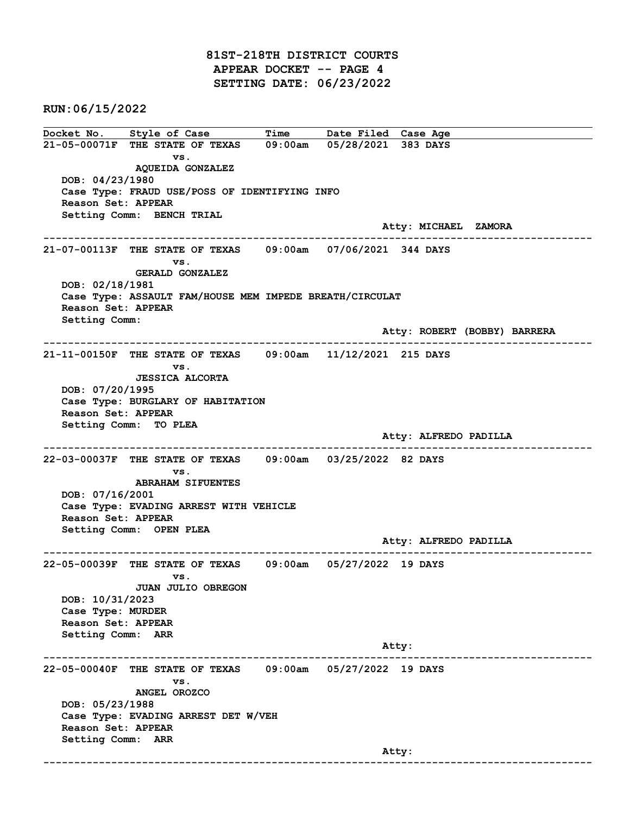81ST-218TH DISTRICT COURTS APPEAR DOCKET -- PAGE 4 SETTING DATE: 06/23/2022

RUN:06/15/2022

Docket No. Style of Case Time Date Filed Case Age 21-05-00071F THE STATE OF TEXAS 09:00am 05/28/2021 383 DAYS vs. AQUEIDA GONZALEZ DOB: 04/23/1980 Case Type: FRAUD USE/POSS OF IDENTIFYING INFO Reason Set: APPEAR Setting Comm: BENCH TRIAL Atty: MICHAEL ZAMORA ------------------------------------------------------------------------------------------------------------------------ 21-07-00113F THE STATE OF TEXAS 09:00am 07/06/2021 344 DAYS vs. GERALD GONZALEZ DOB: 02/18/1981 Case Type: ASSAULT FAM/HOUSE MEM IMPEDE BREATH/CIRCULAT Reason Set: APPEAR Setting Comm: Atty: ROBERT (BOBBY) BARRERA ------------------------------------------------------------------------------------------------------------------------ 21-11-00150F THE STATE OF TEXAS 09:00am 11/12/2021 215 DAYS vs. JESSICA ALCORTA DOB: 07/20/1995 Case Type: BURGLARY OF HABITATION Reason Set: APPEAR Setting Comm: TO PLEA Atty: ALFREDO PADILLA ------------------------------------------------------------------------------------------------------------------------ 22-03-00037F THE STATE OF TEXAS 09:00am 03/25/2022 82 DAYS vs. ABRAHAM SIFUENTES DOB: 07/16/2001 Case Type: EVADING ARREST WITH VEHICLE Reason Set: APPEAR Setting Comm: OPEN PLEA Atty: ALFREDO PADILLA ------------------------------------------------------------------------------------------------------------------------ 22-05-00039F THE STATE OF TEXAS 09:00am 05/27/2022 19 DAYS vs. JUAN JULIO OBREGON DOB: 10/31/2023 Case Type: MURDER Reason Set: APPEAR Setting Comm: ARR Atty: ------------------------------------------------------------------------------------------------------------------------ 22-05-00040F THE STATE OF TEXAS 09:00am 05/27/2022 19 DAYS vs. ANGEL OROZCO DOB: 05/23/1988 Case Type: EVADING ARREST DET W/VEH Reason Set: APPEAR Setting Comm: ARR and the control of the control of the control of the control of the control of the control of the control of the control of the control of the control of the control of the control of the control of the control of the cont ------------------------------------------------------------------------------------------------------------------------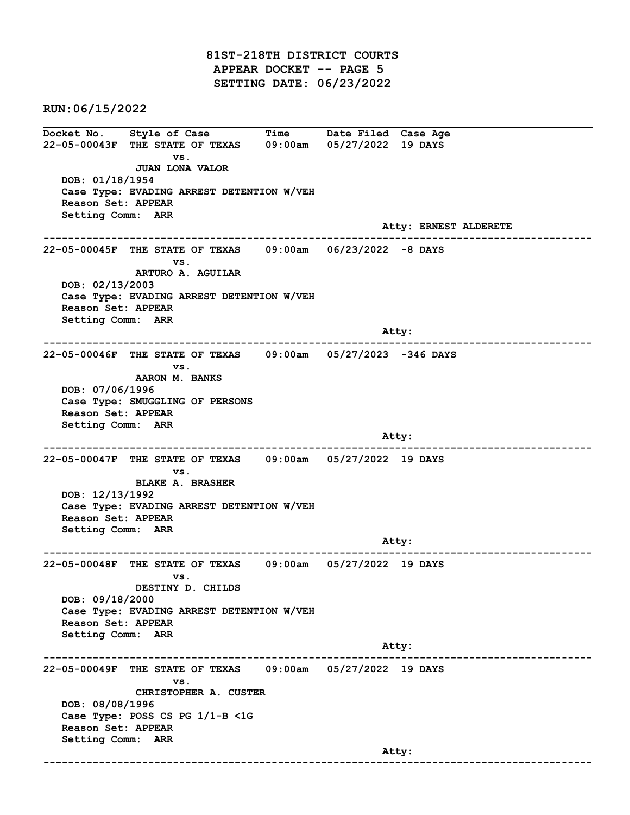81ST-218TH DISTRICT COURTS APPEAR DOCKET -- PAGE 5 SETTING DATE: 06/23/2022

RUN:06/15/2022

Docket No. Style of Case Time Date Filed Case Age 22-05-00043F THE STATE OF TEXAS 09:00am 05/27/2022 19 DAYS vs. JUAN LONA VALOR DOB: 01/18/1954 Case Type: EVADING ARREST DETENTION W/VEH Reason Set: APPEAR Setting Comm: ARR Atty: ERNEST ALDERETE ------------------------------------------------------------------------------------------------------------------------ 22-05-00045F THE STATE OF TEXAS 09:00am 06/23/2022 -8 DAYS vs. ARTURO A. AGUILAR DOB: 02/13/2003 Case Type: EVADING ARREST DETENTION W/VEH Reason Set: APPEAR Setting Comm: ARR and the control of the control of the control of the control of the control of the control of the control of the control of the control of the control of the control of the control of the control of the control of the cont ------------------------------------------------------------------------------------------------------------------------ 22-05-00046F THE STATE OF TEXAS 09:00am 05/27/2023 -346 DAYS vs. AARON M. BANKS DOB: 07/06/1996 Case Type: SMUGGLING OF PERSONS Reason Set: APPEAR Setting Comm: ARR and the control of the control of the control of the control of the control of the control of the control of the control of the control of the control of the control of the control of the control of the control of the cont ------------------------------------------------------------------------------------------------------------------------ 22-05-00047F THE STATE OF TEXAS 09:00am 05/27/2022 19 DAYS vs. BLAKE A. BRASHER DOB: 12/13/1992 Case Type: EVADING ARREST DETENTION W/VEH Reason Set: APPEAR Setting Comm: ARR Atty: ------------------------------------------------------------------------------------------------------------------------ 22-05-00048F THE STATE OF TEXAS 09:00am 05/27/2022 19 DAYS vs. DESTINY D. CHILDS DOB: 09/18/2000 Case Type: EVADING ARREST DETENTION W/VEH Reason Set: APPEAR Setting Comm: ARR Atty: ------------------------------------------------------------------------------------------------------------------------ 22-05-00049F THE STATE OF TEXAS 09:00am 05/27/2022 19 DAYS vs. CHRISTOPHER A. CUSTER DOB: 08/08/1996 Case Type: POSS CS PG 1/1-B <1G Reason Set: APPEAR Setting Comm: ARR and the control of the control of the control of the control of the control of the control of the control of the control of the control of the control of the control of the control of the control of the control of the cont ------------------------------------------------------------------------------------------------------------------------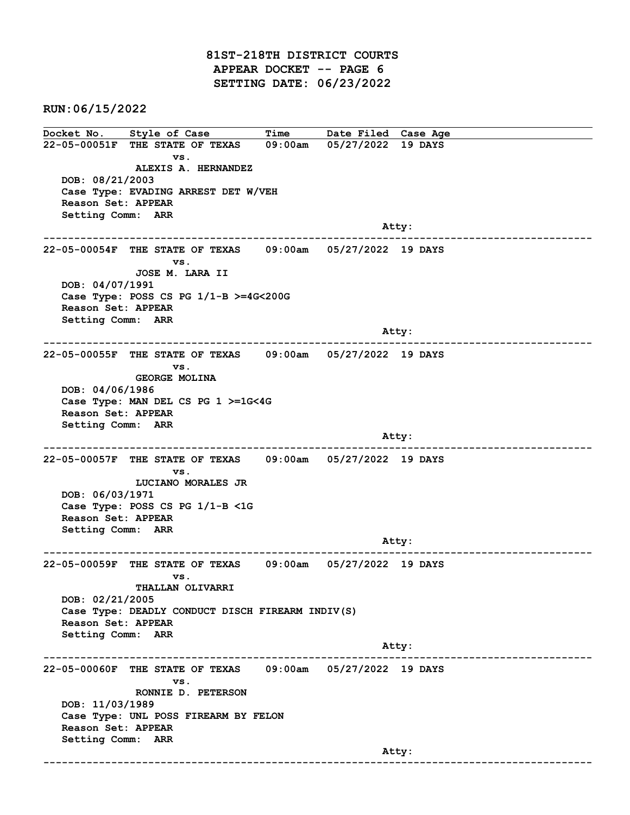81ST-218TH DISTRICT COURTS APPEAR DOCKET -- PAGE 6 SETTING DATE: 06/23/2022

RUN:06/15/2022

Docket No. Style of Case Time Date Filed Case Age 22-05-00051F THE STATE OF TEXAS 09:00am 05/27/2022 19 DAYS vs. ALEXIS A. HERNANDEZ DOB: 08/21/2003 Case Type: EVADING ARREST DET W/VEH Reason Set: APPEAR Setting Comm: ARR and the control of the control of the control of the control of the control of the control of the control of the control of the control of the control of the control of the control of the control of the control of the cont ------------------------------------------------------------------------------------------------------------------------ 22-05-00054F THE STATE OF TEXAS 09:00am 05/27/2022 19 DAYS vs. JOSE M. LARA II DOB: 04/07/1991 Case Type: POSS CS PG 1/1-B >=4G<200G Reason Set: APPEAR Setting Comm: ARR and the control of the control of the control of the control of the control of the control of the control of the control of the control of the control of the control of the control of the control of the control of the cont ------------------------------------------------------------------------------------------------------------------------ 22-05-00055F THE STATE OF TEXAS 09:00am 05/27/2022 19 DAYS vs. GEORGE MOLINA DOB: 04/06/1986 Case Type: MAN DEL CS PG 1 >=1G<4G Reason Set: APPEAR Setting Comm: ARR and the control of the control of the control of the control of the control of the control of the control of the control of the control of the control of the control of the control of the control of the control of the cont ------------------------------------------------------------------------------------------------------------------------ 22-05-00057F THE STATE OF TEXAS 09:00am 05/27/2022 19 DAYS vs. LUCIANO MORALES JR DOB: 06/03/1971 Case Type: POSS CS PG 1/1-B <1G Reason Set: APPEAR Setting Comm: ARR Atty: ------------------------------------------------------------------------------------------------------------------------ 22-05-00059F THE STATE OF TEXAS 09:00am 05/27/2022 19 DAYS vs. THALLAN OLIVARRI DOB: 02/21/2005 Case Type: DEADLY CONDUCT DISCH FIREARM INDIV(S) Reason Set: APPEAR Setting Comm: ARR Atty: ------------------------------------------------------------------------------------------------------------------------ 22-05-00060F THE STATE OF TEXAS 09:00am 05/27/2022 19 DAYS vs. RONNIE D. PETERSON DOB: 11/03/1989 Case Type: UNL POSS FIREARM BY FELON Reason Set: APPEAR Setting Comm: ARR and the control of the control of the control of the control of the control of the control of the control of the control of the control of the control of the control of the control of the control of the control of the cont ------------------------------------------------------------------------------------------------------------------------